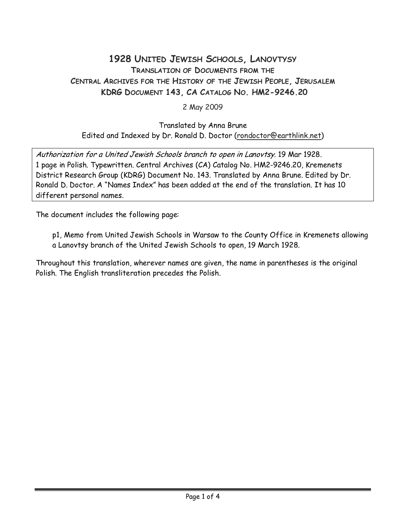## 1928 UNITED JEWISH SCHOOLS, LANOVTYSY TRANSLATION OF DOCUMENTS FROM THE CENTRAL ARCHIVES FOR THE HISTORY OF THE JEWISH PEOPLE, JERUSALEM KDRG DOCUMENT 143, CA CATALOG NO. HM2-9246.20

2 May 2009

## Translated by Anna Brune Edited and Indexed by Dr. Ronald D. Doctor (rondoctor@earthlink.net)

Authorization for a United Jewish Schools branch to open in Lanovtsy. 19 Mar 1928. 1 page in Polish. Typewritten. Central Archives (CA) Catalog No. HM2-9246.20, Kremenets District Research Group (KDRG) Document No. 143. Translated by Anna Brune. Edited by Dr. Ronald D. Doctor. A "Names Index" has been added at the end of the translation. It has 10 different personal names.

The document includes the following page:

p1, Memo from United Jewish Schools in Warsaw to the County Office in Kremenets allowing a Lanovtsy branch of the United Jewish Schools to open, 19 March 1928.

Throughout this translation, wherever names are given, the name in parentheses is the original Polish. The English transliteration precedes the Polish.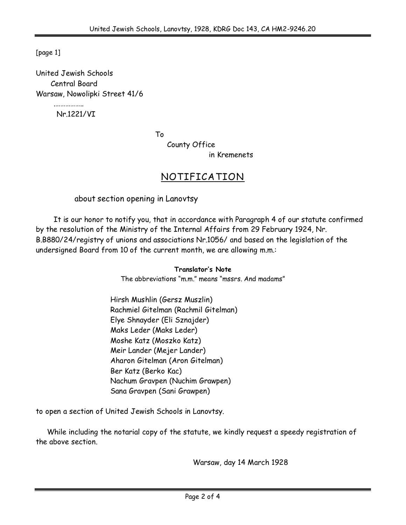[page 1]

United Jewish Schools Central Board Warsaw, Nowolipki Street 41/6

Nr.1221/VI

…………………

To

County Office

in Kremenets

## NOTIFICATION

about section opening in Lanovtsy

 It is our honor to notify you, that in accordance with Paragraph 4 of our statute confirmed by the resolution of the Ministry of the Internal Affairs from 29 February 1924, Nr. B.B880/24/registry of unions and associations Nr.1056/ and based on the legislation of the undersigned Board from 10 of the current month, we are allowing m.m.:

> Translator's Note The abbreviations "m.m." means "mssrs. And madams"

Hirsh Mushlin (Gersz Muszlin) Rachmiel Gitelman (Rachmil Gitelman) Elye Shnayder (Eli Sznajder) Maks Leder (Maks Leder) Moshe Katz (Moszko Katz) Meir Lander (Mejer Lander) Aharon Gitelman (Aron Gitelman) Ber Katz (Berko Kac) Nachum Gravpen (Nuchim Grawpen) Sana Gravpen (Sani Grawpen)

to open a section of United Jewish Schools in Lanovtsy.

 While including the notarial copy of the statute, we kindly request a speedy registration of the above section.

Warsaw, day 14 March 1928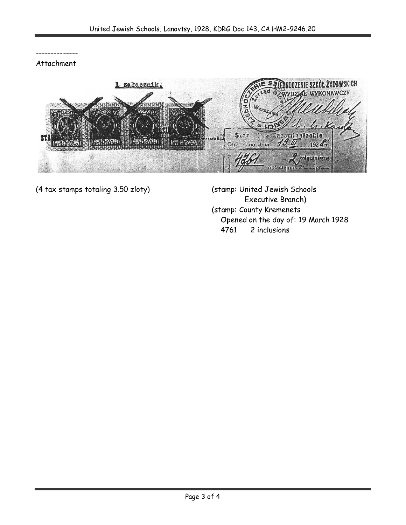-------------- Attachment



(4 tax stamps totaling 3.50 zloty) (stamp: United Jewish Schools

Executive Branch) (stamp: County Kremenets Opened on the day of: 19 March 1928 4761 2 inclusions